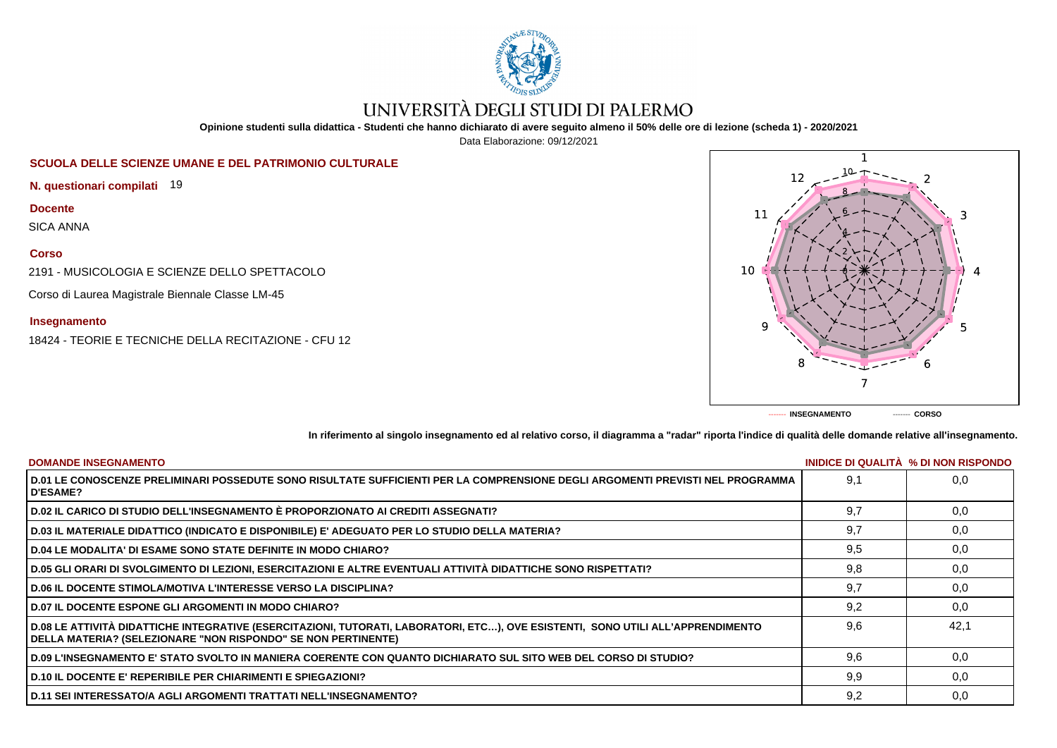

# UNIVERSITÀ DEGLI STUDI DI PALERMO

**Opinione studenti sulla didattica - Studenti che hanno dichiarato di avere seguito almeno il 50% delle ore di lezione (scheda 1) - 2020/2021**

Data Elaborazione: 09/12/2021

## **SCUOLA DELLE SCIENZE UMANE E DEL PATRIMONIO CULTURALE**

**N. questionari compilati** 19

**Docente**

SICA ANNA

### **Corso**

2191 - MUSICOLOGIA E SCIENZE DELLO SPETTACOLO

Corso di Laurea Magistrale Biennale Classe LM-45

### **Insegnamento**

18424 - TEORIE E TECNICHE DELLA RECITAZIONE - CFU 12



**In riferimento al singolo insegnamento ed al relativo corso, il diagramma a "radar" riporta l'indice di qualità delle domande relative all'insegnamento.**

| <b>DOMANDE INSEGNAMENTO</b>                                                                                                                                                                             |     | INIDICE DI QUALITA % DI NON RISPONDO |
|---------------------------------------------------------------------------------------------------------------------------------------------------------------------------------------------------------|-----|--------------------------------------|
| D.01 LE CONOSCENZE PRELIMINARI POSSEDUTE SONO RISULTATE SUFFICIENTI PER LA COMPRENSIONE DEGLI ARGOMENTI PREVISTI NEL PROGRAMMA<br><b>D'ESAME?</b>                                                       | 9.1 | 0.0                                  |
| D.02 IL CARICO DI STUDIO DELL'INSEGNAMENTO È PROPORZIONATO AI CREDITI ASSEGNATI?                                                                                                                        | 9.7 | 0,0                                  |
| D.03 IL MATERIALE DIDATTICO (INDICATO E DISPONIBILE) E' ADEGUATO PER LO STUDIO DELLA MATERIA?                                                                                                           | 9,7 | 0,0                                  |
| <b>D.04 LE MODALITA' DI ESAME SONO STATE DEFINITE IN MODO CHIARO?</b>                                                                                                                                   | 9,5 | 0,0                                  |
| D.05 GLI ORARI DI SVOLGIMENTO DI LEZIONI, ESERCITAZIONI E ALTRE EVENTUALI ATTIVITÀ DIDATTICHE SONO RISPETTATI?                                                                                          | 9,8 | 0,0                                  |
| <b>D.06 IL DOCENTE STIMOLA/MOTIVA L'INTERESSE VERSO LA DISCIPLINA?</b>                                                                                                                                  | 9.7 | 0.0                                  |
| <b>D.07 IL DOCENTE ESPONE GLI ARGOMENTI IN MODO CHIARO?</b>                                                                                                                                             | 9,2 | 0,0                                  |
| D.08 LE ATTIVITÀ DIDATTICHE INTEGRATIVE (ESERCITAZIONI, TUTORATI, LABORATORI, ETC), OVE ESISTENTI, SONO UTILI ALL'APPRENDIMENTO<br><b>DELLA MATERIA? (SELEZIONARE "NON RISPONDO" SE NON PERTINENTE)</b> | 9.6 | 42.1                                 |
| D.09 L'INSEGNAMENTO E' STATO SVOLTO IN MANIERA COERENTE CON QUANTO DICHIARATO SUL SITO WEB DEL CORSO DI STUDIO?                                                                                         | 9,6 | 0,0                                  |
| <b>D.10 IL DOCENTE E' REPERIBILE PER CHIARIMENTI E SPIEGAZIONI?</b>                                                                                                                                     | 9,9 | 0.0                                  |
| <b>D.11 SEI INTERESSATO/A AGLI ARGOMENTI TRATTATI NELL'INSEGNAMENTO?</b>                                                                                                                                | 9,2 | 0,0                                  |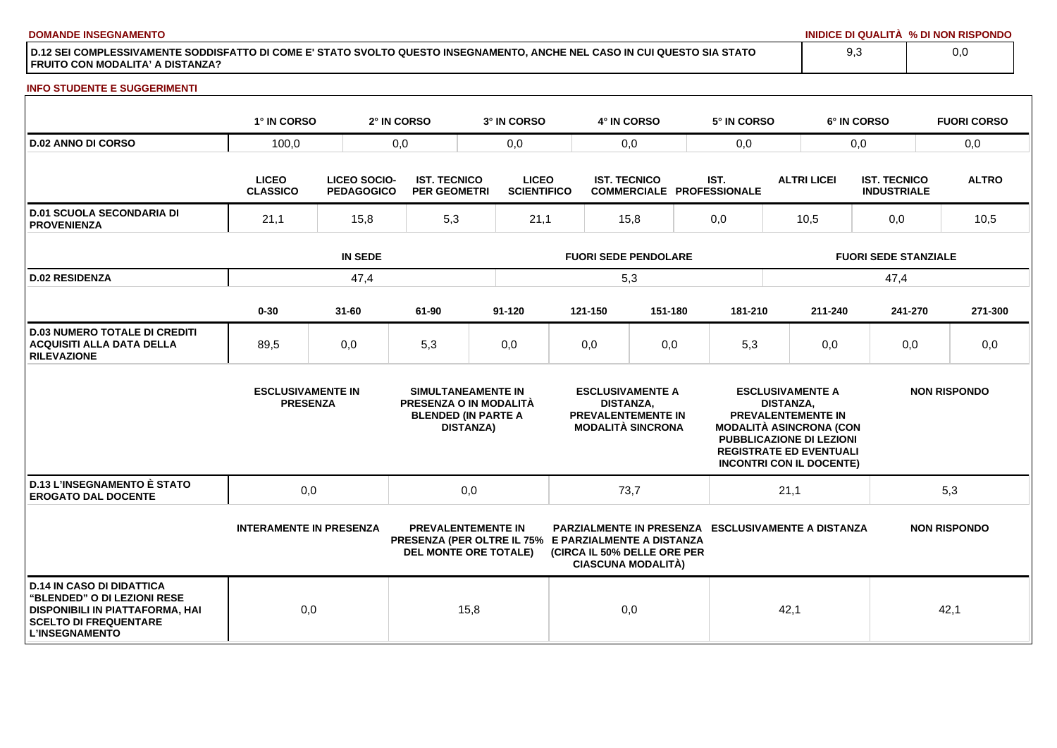**DOMANDE INSEGNAMENTO INIDICE DI QUALITÀ % DI NON RISPONDO**

**D.12 SEI COMPLESSIVAMENTE SODDISFATTO DI COME E' STATO SVOLTO QUESTO INSEGNAMENTO, ANCHE NEL CASO IN CUI QUESTO SIA STATO FRUITO CON MODALITA' A DISTANZA?**

#### **INFO STUDENTE E SUGGERIMENTI**

|                                                                                                                                                                    | 1° IN CORSO                                 |                                          | 2° IN CORSO                                | 3° IN CORSO                                                                                                       |                                                                                               | 4° IN CORSO      |                                                                           |     | 5° IN CORSO                                               |                             |                                                                                                                                                | 6° IN CORSO  |         | <b>FUORI CORSO</b>  |
|--------------------------------------------------------------------------------------------------------------------------------------------------------------------|---------------------------------------------|------------------------------------------|--------------------------------------------|-------------------------------------------------------------------------------------------------------------------|-----------------------------------------------------------------------------------------------|------------------|---------------------------------------------------------------------------|-----|-----------------------------------------------------------|-----------------------------|------------------------------------------------------------------------------------------------------------------------------------------------|--------------|---------|---------------------|
| <b>D.02 ANNO DI CORSO</b>                                                                                                                                          | 100,0                                       |                                          | 0,0                                        | 0,0                                                                                                               | 0,0                                                                                           |                  |                                                                           | 0,0 |                                                           |                             |                                                                                                                                                | 0,0          | 0,0     |                     |
|                                                                                                                                                                    | <b>LICEO</b><br><b>CLASSICO</b>             | <b>LICEO SOCIO-</b><br><b>PEDAGOGICO</b> | <b>IST. TECNICO</b><br><b>PER GEOMETRI</b> |                                                                                                                   | <b>LICEO</b><br><b>IST. TECNICO</b><br><b>SCIENTIFICO</b><br><b>COMMERCIALE PROFESSIONALE</b> |                  | IST.                                                                      |     | <b>ALTRI LICEI</b>                                        |                             | <b>IST. TECNICO</b><br><b>INDUSTRIALE</b>                                                                                                      | <b>ALTRO</b> |         |                     |
| <b>D.01 SCUOLA SECONDARIA DI</b><br><b>PROVENIENZA</b>                                                                                                             | 21,1                                        | 15,8                                     | 5,3                                        | 21,1                                                                                                              |                                                                                               | 15,8             |                                                                           |     | 0,0                                                       |                             | 10,5                                                                                                                                           |              | 0,0     | 10,5                |
|                                                                                                                                                                    | <b>IN SEDE</b>                              |                                          |                                            |                                                                                                                   | <b>FUORI SEDE PENDOLARE</b>                                                                   |                  |                                                                           |     |                                                           | <b>FUORI SEDE STANZIALE</b> |                                                                                                                                                |              |         |                     |
| <b>D.02 RESIDENZA</b>                                                                                                                                              | 47,4                                        |                                          |                                            |                                                                                                                   | 5,3                                                                                           |                  |                                                                           |     |                                                           |                             |                                                                                                                                                | 47,4         |         |                     |
|                                                                                                                                                                    | $0 - 30$                                    | $31 - 60$                                | 61-90                                      | $91 - 120$                                                                                                        |                                                                                               | 121-150          | 151-180                                                                   |     | 181-210                                                   |                             | 211-240                                                                                                                                        |              | 241-270 | 271-300             |
| <b>D.03 NUMERO TOTALE DI CREDITI</b><br><b>ACQUISITI ALLA DATA DELLA</b><br><b>RILEVAZIONE</b>                                                                     | 89,5                                        | 0,0                                      | 5,3                                        | 0,0                                                                                                               |                                                                                               | 0,0              | 0,0                                                                       |     | 5,3                                                       |                             | 0,0                                                                                                                                            |              | 0,0     | 0,0                 |
|                                                                                                                                                                    | <b>ESCLUSIVAMENTE IN</b><br><b>PRESENZA</b> |                                          |                                            | SIMULTANEAMENTE IN<br>PRESENZA O IN MODALITÀ<br><b>BLENDED (IN PARTE A</b><br><b>DISTANZA)</b>                    |                                                                                               | <b>DISTANZA.</b> | <b>ESCLUSIVAMENTE A</b><br>PREVALENTEMENTE IN<br><b>MODALITÀ SINCRONA</b> |     | <b>MODALITÀ ASINCRONA (CON</b>                            | <b>DISTANZA.</b>            | <b>ESCLUSIVAMENTE A</b><br>PREVALENTEMENTE IN<br>PUBBLICAZIONE DI LEZIONI<br><b>REGISTRATE ED EVENTUALI</b><br><b>INCONTRI CON IL DOCENTE)</b> |              |         | <b>NON RISPONDO</b> |
| <b>D.13 L'INSEGNAMENTO È STATO</b><br><b>EROGATO DAL DOCENTE</b>                                                                                                   | 0,0                                         |                                          |                                            | 0,0                                                                                                               |                                                                                               | 73,7             |                                                                           |     |                                                           | 21,1                        |                                                                                                                                                |              |         | 5,3                 |
|                                                                                                                                                                    | <b>INTERAMENTE IN PRESENZA</b>              |                                          |                                            | <b>PREVALENTEMENTE IN</b><br>PRESENZA (PER OLTRE IL 75% E PARZIALMENTE A DISTANZA<br><b>DEL MONTE ORE TOTALE)</b> |                                                                                               |                  | (CIRCA IL 50% DELLE ORE PER<br><b>CIASCUNA MODALITÀ)</b>                  |     | <b>PARZIALMENTE IN PRESENZA ESCLUSIVAMENTE A DISTANZA</b> |                             |                                                                                                                                                |              |         | <b>NON RISPONDO</b> |
| <b>D.14 IN CASO DI DIDATTICA</b><br>"BLENDED" O DI LEZIONI RESE<br><b>DISPONIBILI IN PIATTAFORMA, HAI</b><br><b>SCELTO DI FREQUENTARE</b><br><b>L'INSEGNAMENTO</b> | 0,0                                         |                                          |                                            | 15,8                                                                                                              |                                                                                               | 0,0              |                                                                           |     |                                                           | 42,1                        |                                                                                                                                                |              |         | 42,1                |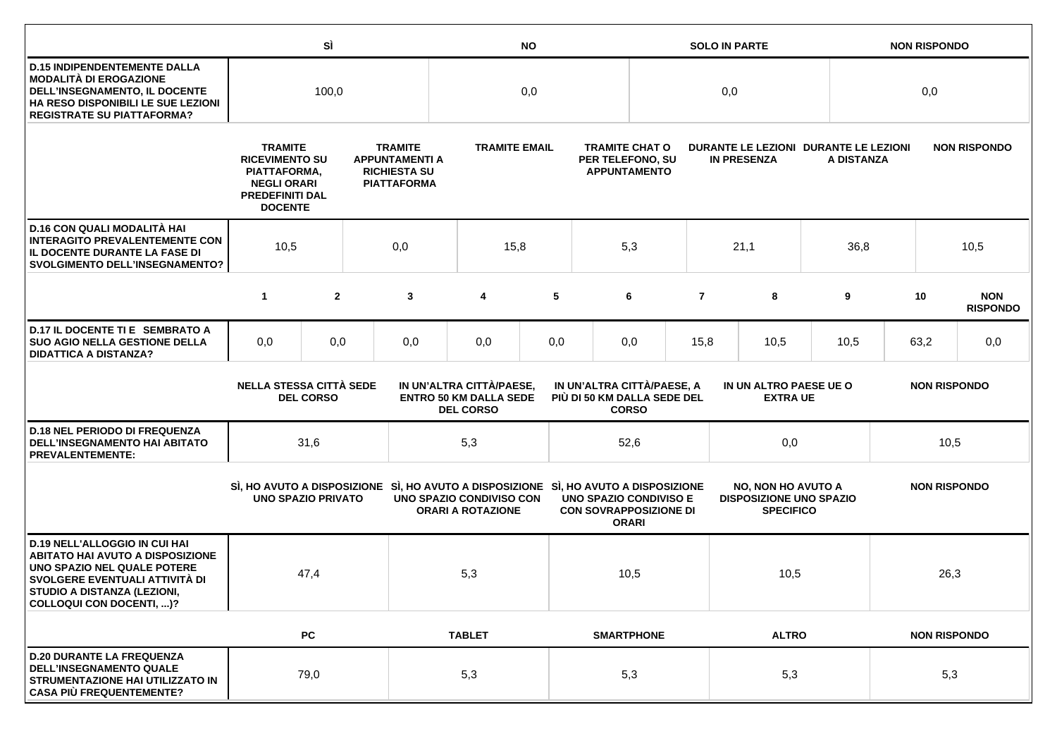|                                                                                                                                                                                                             |                                                                                                                           | SÌ               |  | <b>NO</b>                                                                                                    |                                                                               |     |                                                                  | <b>SOLO IN PARTE</b> |                |                                                                                 |      | <b>NON RISPONDO</b>                                 |                     |                               |
|-------------------------------------------------------------------------------------------------------------------------------------------------------------------------------------------------------------|---------------------------------------------------------------------------------------------------------------------------|------------------|--|--------------------------------------------------------------------------------------------------------------|-------------------------------------------------------------------------------|-----|------------------------------------------------------------------|----------------------|----------------|---------------------------------------------------------------------------------|------|-----------------------------------------------------|---------------------|-------------------------------|
| <b>D.15 INDIPENDENTEMENTE DALLA</b><br><b>MODALITÀ DI EROGAZIONE</b><br>DELL'INSEGNAMENTO, IL DOCENTE<br>HA RESO DISPONIBILI LE SUE LEZIONI<br><b>REGISTRATE SU PIATTAFORMA?</b>                            | 100,0                                                                                                                     |                  |  | 0,0                                                                                                          |                                                                               |     |                                                                  | 0,0                  |                |                                                                                 |      | 0,0                                                 |                     |                               |
|                                                                                                                                                                                                             | <b>TRAMITE</b><br><b>RICEVIMENTO SU</b><br>PIATTAFORMA,<br><b>NEGLI ORARI</b><br><b>PREDEFINITI DAL</b><br><b>DOCENTE</b> |                  |  | <b>TRAMITE</b><br><b>TRAMITE EMAIL</b><br><b>APPUNTAMENTI A</b><br><b>RICHIESTA SU</b><br><b>PIATTAFORMA</b> |                                                                               |     | <b>TRAMITE CHAT O</b><br>PER TELEFONO, SU<br><b>APPUNTAMENTO</b> |                      |                | <b>IN PRESENZA</b>                                                              |      | DURANTE LE LEZIONI DURANTE LE LEZIONI<br>A DISTANZA |                     | <b>NON RISPONDO</b>           |
| D.16 CON QUALI MODALITÀ HAI<br><b>INTERAGITO PREVALENTEMENTE CON</b><br>IL DOCENTE DURANTE LA FASE DI<br><b>SVOLGIMENTO DELL'INSEGNAMENTO?</b>                                                              | 10,5                                                                                                                      | 0,0<br>15,8      |  |                                                                                                              | 5,3                                                                           |     | 21,1                                                             | 36,8                 |                | 10,5                                                                            |      |                                                     |                     |                               |
|                                                                                                                                                                                                             | $\mathbf{1}$                                                                                                              | $\overline{2}$   |  | 3                                                                                                            | 4                                                                             | 5   |                                                                  | 6                    | $\overline{7}$ | 8                                                                               | 9    |                                                     | 10                  | <b>NON</b><br><b>RISPONDO</b> |
| D.17 IL DOCENTE TI E SEMBRATO A<br><b>SUO AGIO NELLA GESTIONE DELLA</b><br><b>DIDATTICA A DISTANZA?</b>                                                                                                     | 0,0                                                                                                                       | 0,0              |  | 0,0                                                                                                          | 0,0                                                                           | 0,0 |                                                                  | 0,0                  | 15,8<br>10,5   |                                                                                 | 10,5 |                                                     | 63,2                | 0,0                           |
|                                                                                                                                                                                                             | <b>NELLA STESSA CITTÀ SEDE</b>                                                                                            | <b>DEL CORSO</b> |  |                                                                                                              | IN UN'ALTRA CITTÀ/PAESE,<br><b>ENTRO 50 KM DALLA SEDE</b><br><b>DEL CORSO</b> |     | IN UN'ALTRA CITTÀ/PAESE, A<br>PIÙ DI 50 KM DALLA SEDE DEL        | <b>CORSO</b>         |                | IN UN ALTRO PAESE UE O<br><b>EXTRA UE</b>                                       |      |                                                     | <b>NON RISPONDO</b> |                               |
| <b>D.18 NEL PERIODO DI FREQUENZA</b><br>DELL'INSEGNAMENTO HAI ABITATO<br><b>PREVALENTEMENTE:</b>                                                                                                            |                                                                                                                           | 31,6             |  |                                                                                                              | 5,3                                                                           |     |                                                                  | 52,6                 |                | 0,0                                                                             |      | 10,5                                                |                     |                               |
|                                                                                                                                                                                                             | <b>UNO SPAZIO PRIVATO</b>                                                                                                 |                  |  | SI, HO AVUTO A DISPOSIZIONE SI, HO AVUTO A DISPOSIZIONE SI, HO AVUTO A DISPOSIZIONE                          | UNO SPAZIO CONDIVISO CON<br><b>ORARI A ROTAZIONE</b>                          |     | <b>UNO SPAZIO CONDIVISO E</b><br><b>CON SOVRAPPOSIZIONE DI</b>   | <b>ORARI</b>         |                | <b>NO, NON HO AVUTO A</b><br><b>DISPOSIZIONE UNO SPAZIO</b><br><b>SPECIFICO</b> |      | <b>NON RISPONDO</b>                                 |                     |                               |
| <b>D.19 NELL'ALLOGGIO IN CUI HAI</b><br><b>ABITATO HAI AVUTO A DISPOSIZIONE</b><br>UNO SPAZIO NEL QUALE POTERE<br>SVOLGERE EVENTUALI ATTIVITÀ DI<br>STUDIO A DISTANZA (LEZIONI,<br>COLLOQUI CON DOCENTI, )? |                                                                                                                           | 47,4             |  |                                                                                                              | 5,3                                                                           |     | 10,5                                                             |                      |                |                                                                                 | 10,5 |                                                     | 26,3                |                               |
|                                                                                                                                                                                                             |                                                                                                                           | <b>PC</b>        |  |                                                                                                              | <b>TABLET</b>                                                                 |     |                                                                  | <b>SMARTPHONE</b>    | <b>ALTRO</b>   |                                                                                 |      | <b>NON RISPONDO</b>                                 |                     |                               |
| <b>D.20 DURANTE LA FREQUENZA</b><br><b>DELL'INSEGNAMENTO QUALE</b><br>STRUMENTAZIONE HAI UTILIZZATO IN<br><b>CASA PIÙ FREQUENTEMENTE?</b>                                                                   |                                                                                                                           | 79,0             |  |                                                                                                              | 5,3                                                                           |     |                                                                  | 5,3                  |                | 5,3                                                                             |      | 5,3                                                 |                     |                               |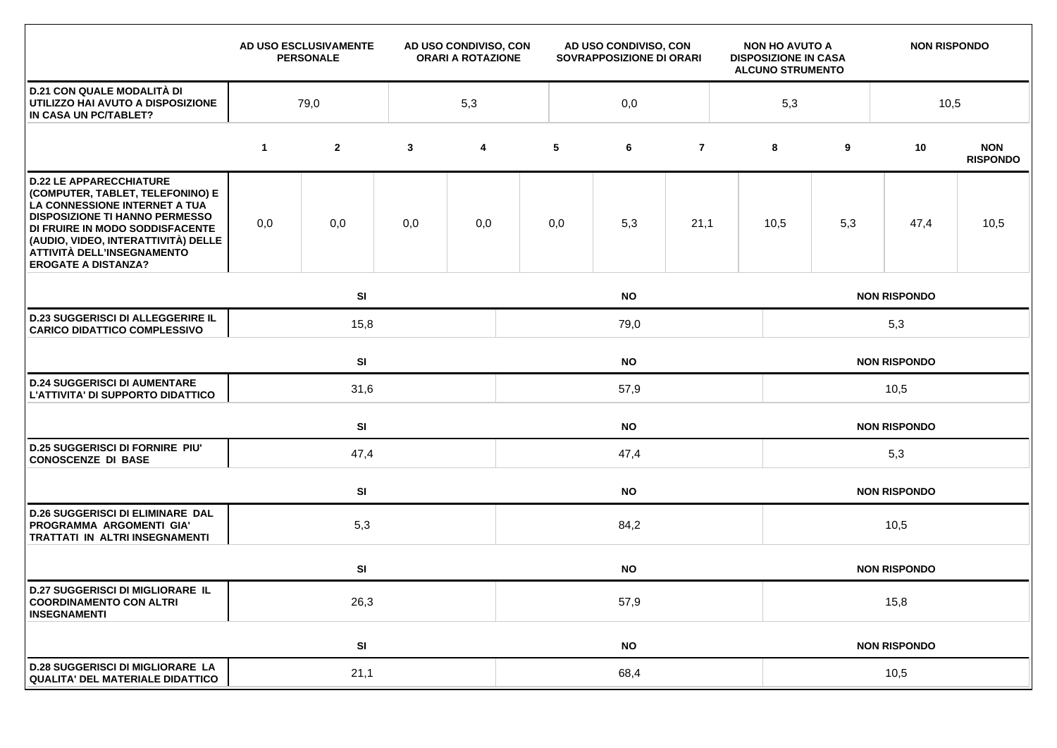|                                                                                                                                                                                                                                                                                    |             | AD USO ESCLUSIVAMENTE<br><b>PERSONALE</b> |              | AD USO CONDIVISO, CON<br><b>ORARI A ROTAZIONE</b> | AD USO CONDIVISO, CON<br>SOVRAPPOSIZIONE DI ORARI |           |                | <b>NON HO AVUTO A</b><br><b>DISPOSIZIONE IN CASA</b><br><b>ALCUNO STRUMENTO</b> |                     | <b>NON RISPONDO</b> |                     |                               |  |  |  |
|------------------------------------------------------------------------------------------------------------------------------------------------------------------------------------------------------------------------------------------------------------------------------------|-------------|-------------------------------------------|--------------|---------------------------------------------------|---------------------------------------------------|-----------|----------------|---------------------------------------------------------------------------------|---------------------|---------------------|---------------------|-------------------------------|--|--|--|
| <b>D.21 CON QUALE MODALITÀ DI</b><br>UTILIZZO HAI AVUTO A DISPOSIZIONE<br>IN CASA UN PC/TABLET?                                                                                                                                                                                    | 79,0<br>5,3 |                                           |              |                                                   | 0,0                                               |           |                |                                                                                 |                     | 5,3<br>10,5         |                     |                               |  |  |  |
|                                                                                                                                                                                                                                                                                    | $\mathbf 1$ | $\mathbf{2}$                              | $\mathbf{3}$ | $\overline{\mathbf{4}}$                           | 5                                                 | 6         | $\overline{7}$ |                                                                                 | 8                   | 9                   | 10                  | <b>NON</b><br><b>RISPONDO</b> |  |  |  |
| <b>D.22 LE APPARECCHIATURE</b><br>(COMPUTER, TABLET, TELEFONINO) E<br>LA CONNESSIONE INTERNET A TUA<br><b>DISPOSIZIONE TI HANNO PERMESSO</b><br>DI FRUIRE IN MODO SODDISFACENTE<br>(AUDIO, VIDEO, INTERATTIVITÀ) DELLE<br>ATTIVITÀ DELL'INSEGNAMENTO<br><b>EROGATE A DISTANZA?</b> | 0,0         | 0,0                                       | 0,0          | 0,0                                               | 0,0                                               | 5,3       | 21,1           |                                                                                 | 10,5                | 5,3                 | 47,4                | 10,5                          |  |  |  |
|                                                                                                                                                                                                                                                                                    |             | SI                                        |              |                                                   |                                                   | <b>NO</b> |                |                                                                                 |                     |                     | <b>NON RISPONDO</b> |                               |  |  |  |
| <b>D.23 SUGGERISCI DI ALLEGGERIRE IL</b><br><b>CARICO DIDATTICO COMPLESSIVO</b>                                                                                                                                                                                                    |             | 15,8<br>79,0                              |              |                                                   |                                                   |           |                |                                                                                 | 5,3                 |                     |                     |                               |  |  |  |
|                                                                                                                                                                                                                                                                                    |             | SI<br><b>NO</b>                           |              |                                                   |                                                   |           |                |                                                                                 | <b>NON RISPONDO</b> |                     |                     |                               |  |  |  |
| <b>D.24 SUGGERISCI DI AUMENTARE</b><br>L'ATTIVITA' DI SUPPORTO DIDATTICO                                                                                                                                                                                                           |             | 31,6<br>57,9                              |              |                                                   |                                                   |           |                |                                                                                 | 10,5                |                     |                     |                               |  |  |  |
|                                                                                                                                                                                                                                                                                    |             | SI                                        |              |                                                   | <b>NO</b><br><b>NON RISPONDO</b>                  |           |                |                                                                                 |                     |                     |                     |                               |  |  |  |
| <b>D.25 SUGGERISCI DI FORNIRE PIU'</b><br><b>CONOSCENZE DI BASE</b>                                                                                                                                                                                                                |             | 47,4                                      |              |                                                   | 47,4                                              |           |                |                                                                                 |                     | 5,3                 |                     |                               |  |  |  |
|                                                                                                                                                                                                                                                                                    |             | SI                                        |              |                                                   | <b>NO</b>                                         |           |                |                                                                                 |                     |                     | <b>NON RISPONDO</b> |                               |  |  |  |
| <b>D.26 SUGGERISCI DI ELIMINARE DAL</b><br>PROGRAMMA ARGOMENTI GIA'<br><b>TRATTATI IN ALTRI INSEGNAMENTI</b>                                                                                                                                                                       |             | 5,3                                       |              | 84,2                                              |                                                   |           |                |                                                                                 |                     | 10,5                |                     |                               |  |  |  |
|                                                                                                                                                                                                                                                                                    |             | SI                                        |              |                                                   |                                                   | <b>NO</b> |                |                                                                                 |                     |                     | <b>NON RISPONDO</b> |                               |  |  |  |
| <b>D.27 SUGGERISCI DI MIGLIORARE IL</b><br><b>COORDINAMENTO CON ALTRI</b><br><b>INSEGNAMENTI</b>                                                                                                                                                                                   |             | 26,3                                      |              |                                                   | 57,9                                              |           |                |                                                                                 | 15,8                |                     |                     |                               |  |  |  |
|                                                                                                                                                                                                                                                                                    |             | SI                                        |              |                                                   |                                                   | <b>NO</b> |                |                                                                                 |                     |                     | <b>NON RISPONDO</b> |                               |  |  |  |
| <b>D.28 SUGGERISCI DI MIGLIORARE LA</b><br>QUALITA' DEL MATERIALE DIDATTICO                                                                                                                                                                                                        |             | 21,1                                      |              |                                                   | 68,4                                              |           |                |                                                                                 |                     | 10,5                |                     |                               |  |  |  |